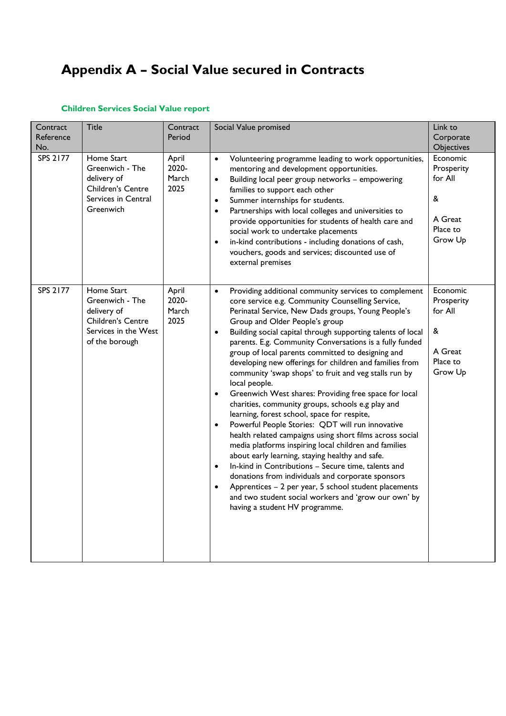# **Appendix A – Social Value secured in Contracts**

## **Children Services Social Value report**

| Contract<br>Reference<br>No.<br>SPS 2177 | <b>Title</b><br>Home Start<br>Greenwich - The<br>delivery of<br><b>Children's Centre</b><br>Services in Central<br>Greenwich | Contract<br>Period<br>April<br>2020-<br>March<br>2025 | Social Value promised<br>Volunteering programme leading to work opportunities,<br>$\bullet$<br>mentoring and development opportunities.<br>Building local peer group networks - empowering<br>$\bullet$<br>families to support each other<br>Summer internships for students.<br>$\bullet$<br>Partnerships with local colleges and universities to<br>$\bullet$<br>provide opportunities for students of health care and<br>social work to undertake placements<br>in-kind contributions - including donations of cash,<br>$\bullet$                                                                                                                                                                                                                                                                                                                                                                                                                                                                                                                                                                                                                                                                                                                                                                                                | Link to<br>Corporate<br>Objectives<br>Economic<br>Prosperity<br>for All<br>&<br>A Great<br>Place to<br>Grow Up |
|------------------------------------------|------------------------------------------------------------------------------------------------------------------------------|-------------------------------------------------------|-------------------------------------------------------------------------------------------------------------------------------------------------------------------------------------------------------------------------------------------------------------------------------------------------------------------------------------------------------------------------------------------------------------------------------------------------------------------------------------------------------------------------------------------------------------------------------------------------------------------------------------------------------------------------------------------------------------------------------------------------------------------------------------------------------------------------------------------------------------------------------------------------------------------------------------------------------------------------------------------------------------------------------------------------------------------------------------------------------------------------------------------------------------------------------------------------------------------------------------------------------------------------------------------------------------------------------------|----------------------------------------------------------------------------------------------------------------|
| SPS 2177                                 | Home Start<br>Greenwich - The<br>delivery of<br><b>Children's Centre</b><br>Services in the West<br>of the borough           | April<br>2020-<br>March<br>2025                       | vouchers, goods and services; discounted use of<br>external premises<br>Providing additional community services to complement<br>$\bullet$<br>core service e.g. Community Counselling Service,<br>Perinatal Service, New Dads groups, Young People's<br>Group and Older People's group<br>Building social capital through supporting talents of local<br>$\bullet$<br>parents. E.g. Community Conversations is a fully funded<br>group of local parents committed to designing and<br>developing new offerings for children and families from<br>community 'swap shops' to fruit and veg stalls run by<br>local people.<br>Greenwich West shares: Providing free space for local<br>$\bullet$<br>charities, community groups, schools e.g play and<br>learning, forest school, space for respite,<br>Powerful People Stories: QDT will run innovative<br>$\bullet$<br>health related campaigns using short films across social<br>media platforms inspiring local children and families<br>about early learning, staying healthy and safe.<br>In-kind in Contributions - Secure time, talents and<br>$\bullet$<br>donations from individuals and corporate sponsors<br>Apprentices - 2 per year, 5 school student placements<br>$\bullet$<br>and two student social workers and 'grow our own' by<br>having a student HV programme. | Economic<br>Prosperity<br>for All<br>&<br>A Great<br>Place to<br>Grow Up                                       |
|                                          |                                                                                                                              |                                                       |                                                                                                                                                                                                                                                                                                                                                                                                                                                                                                                                                                                                                                                                                                                                                                                                                                                                                                                                                                                                                                                                                                                                                                                                                                                                                                                                     |                                                                                                                |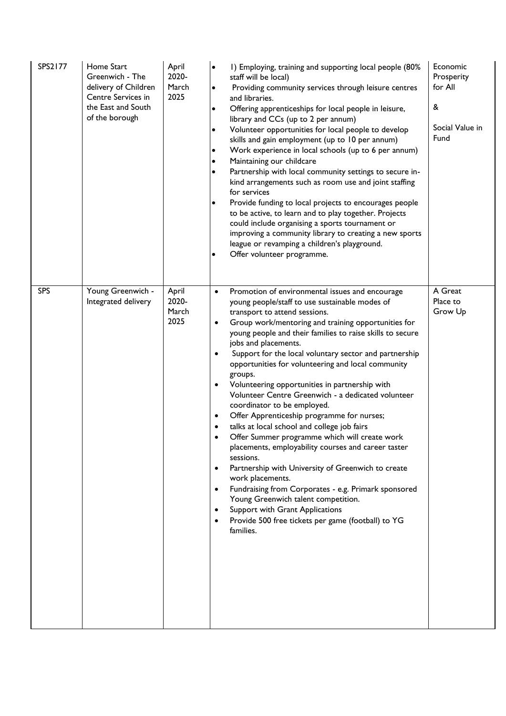| SPS2177    | Home Start<br>Greenwich - The<br>delivery of Children<br>Centre Services in<br>the East and South<br>of the borough | April<br>2020-<br>March<br>2025 | I) Employing, training and supporting local people (80%<br>$\bullet$<br>staff will be local)<br>Providing community services through leisure centres<br>$\bullet$<br>and libraries.<br>Offering apprenticeships for local people in leisure,<br>$\bullet$<br>library and CCs (up to 2 per annum)<br>Volunteer opportunities for local people to develop<br>$\bullet$<br>skills and gain employment (up to 10 per annum)<br>Work experience in local schools (up to 6 per annum)<br>$\bullet$<br>Maintaining our childcare<br>$\bullet$<br>Partnership with local community settings to secure in-<br>$\bullet$<br>kind arrangements such as room use and joint staffing<br>for services<br>Provide funding to local projects to encourages people<br>$\bullet$<br>to be active, to learn and to play together. Projects<br>could include organising a sports tournament or<br>improving a community library to creating a new sports<br>league or revamping a children's playground.<br>Offer volunteer programme.<br>$\bullet$                                                                                                                                                     | Economic<br>Prosperity<br>for All<br>&<br>Social Value in<br>Fund |
|------------|---------------------------------------------------------------------------------------------------------------------|---------------------------------|-------------------------------------------------------------------------------------------------------------------------------------------------------------------------------------------------------------------------------------------------------------------------------------------------------------------------------------------------------------------------------------------------------------------------------------------------------------------------------------------------------------------------------------------------------------------------------------------------------------------------------------------------------------------------------------------------------------------------------------------------------------------------------------------------------------------------------------------------------------------------------------------------------------------------------------------------------------------------------------------------------------------------------------------------------------------------------------------------------------------------------------------------------------------------------------|-------------------------------------------------------------------|
| <b>SPS</b> | Young Greenwich -<br>Integrated delivery                                                                            | April<br>2020-<br>March<br>2025 | Promotion of environmental issues and encourage<br>$\bullet$<br>young people/staff to use sustainable modes of<br>transport to attend sessions.<br>Group work/mentoring and training opportunities for<br>$\bullet$<br>young people and their families to raise skills to secure<br>jobs and placements.<br>Support for the local voluntary sector and partnership<br>$\bullet$<br>opportunities for volunteering and local community<br>groups.<br>Volunteering opportunities in partnership with<br>$\bullet$<br>Volunteer Centre Greenwich - a dedicated volunteer<br>coordinator to be employed.<br>Offer Apprenticeship programme for nurses;<br>$\bullet$<br>talks at local school and college job fairs<br>$\bullet$<br>Offer Summer programme which will create work<br>placements, employability courses and career taster<br>sessions.<br>Partnership with University of Greenwich to create<br>$\bullet$<br>work placements.<br>Fundraising from Corporates - e.g. Primark sponsored<br>$\bullet$<br>Young Greenwich talent competition.<br>Support with Grant Applications<br>$\bullet$<br>Provide 500 free tickets per game (football) to YG<br>$\bullet$<br>families. | A Great<br>Place to<br>Grow Up                                    |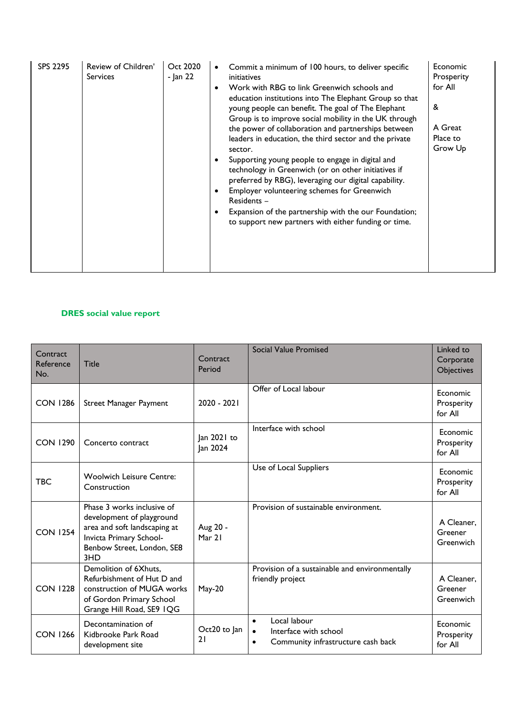| <b>SPS 2295</b> | Review of Children'<br><b>Services</b> | Oct 2020<br>- Jan 22 | Commit a minimum of 100 hours, to deliver specific<br>initiatives<br>Work with RBG to link Greenwich schools and<br>٠<br>education institutions into The Elephant Group so that<br>young people can benefit. The goal of The Elephant<br>Group is to improve social mobility in the UK through<br>the power of collaboration and partnerships between<br>leaders in education, the third sector and the private<br>sector.<br>Supporting young people to engage in digital and<br>technology in Greenwich (or on other initiatives if<br>preferred by RBG), leveraging our digital capability.<br>Employer volunteering schemes for Greenwich<br>Residents -<br>Expansion of the partnership with the our Foundation;<br>to support new partners with either funding or time. | Economic<br>Prosperity<br>for All<br>&<br>A Great<br>Place to<br>Grow Up |
|-----------------|----------------------------------------|----------------------|-------------------------------------------------------------------------------------------------------------------------------------------------------------------------------------------------------------------------------------------------------------------------------------------------------------------------------------------------------------------------------------------------------------------------------------------------------------------------------------------------------------------------------------------------------------------------------------------------------------------------------------------------------------------------------------------------------------------------------------------------------------------------------|--------------------------------------------------------------------------|
|-----------------|----------------------------------------|----------------------|-------------------------------------------------------------------------------------------------------------------------------------------------------------------------------------------------------------------------------------------------------------------------------------------------------------------------------------------------------------------------------------------------------------------------------------------------------------------------------------------------------------------------------------------------------------------------------------------------------------------------------------------------------------------------------------------------------------------------------------------------------------------------------|--------------------------------------------------------------------------|

#### **DRES social value report**

| Contract<br>Reference<br>No. | <b>Title</b>                                                                                                                                            | Contract<br>Period      | Social Value Promised                                                                                              | Linked to<br>Corporate<br>Objectives |
|------------------------------|---------------------------------------------------------------------------------------------------------------------------------------------------------|-------------------------|--------------------------------------------------------------------------------------------------------------------|--------------------------------------|
| <b>CON 1286</b>              | <b>Street Manager Payment</b>                                                                                                                           | 2020 - 2021             | Offer of Local labour                                                                                              | Economic<br>Prosperity<br>for All    |
| <b>CON 1290</b>              | Concerto contract                                                                                                                                       | Jan 2021 to<br>Jan 2024 | Interface with school                                                                                              | Economic<br>Prosperity<br>for All    |
| <b>TBC</b>                   | <b>Woolwich Leisure Centre:</b><br>Construction                                                                                                         |                         | Use of Local Suppliers                                                                                             | Economic<br>Prosperity<br>for All    |
| <b>CON 1254</b>              | Phase 3 works inclusive of<br>development of playground<br>area and soft landscaping at<br>Invicta Primary School-<br>Benbow Street, London, SE8<br>3HD | Aug 20 -<br>Mar 21      | Provision of sustainable environment.                                                                              | A Cleaner,<br>Greener<br>Greenwich   |
| <b>CON 1228</b>              | Demolition of 6Xhuts,<br>Refurbishment of Hut D and<br>construction of MUGA works<br>of Gordon Primary School<br>Grange Hill Road, SE9 IQG              | <b>May-20</b>           | Provision of a sustainable and environmentally<br>friendly project                                                 | A Cleaner,<br>Greener<br>Greenwich   |
| <b>CON 1266</b>              | Decontamination of<br>Kidbrooke Park Road<br>development site                                                                                           | Oct20 to Jan<br>21      | Local labour<br>$\bullet$<br>Interface with school<br>$\bullet$<br>Community infrastructure cash back<br>$\bullet$ | Economic<br>Prosperity<br>for All    |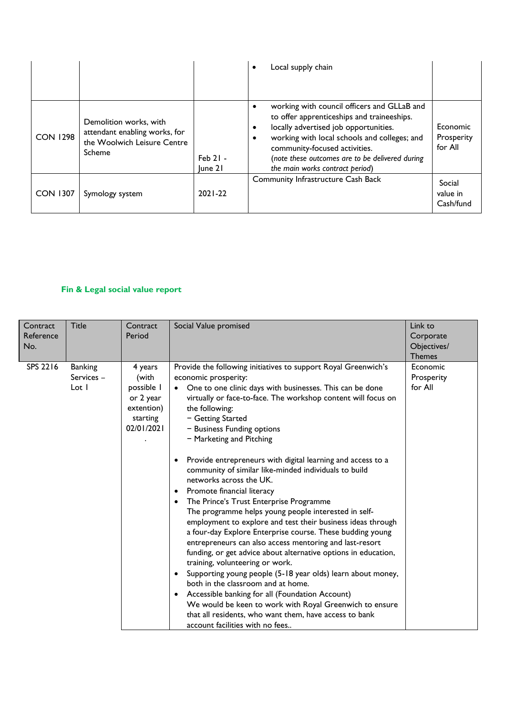|                 |                                                                                                  |                       | Local supply chain<br>٠                                                                                                                                                                                                                                                                                   |                                   |
|-----------------|--------------------------------------------------------------------------------------------------|-----------------------|-----------------------------------------------------------------------------------------------------------------------------------------------------------------------------------------------------------------------------------------------------------------------------------------------------------|-----------------------------------|
| <b>CON 1298</b> | Demolition works, with<br>attendant enabling works, for<br>the Woolwich Leisure Centre<br>Scheme | $Feb$ 21 -<br>lune 21 | working with council officers and GLLaB and<br>to offer apprenticeships and traineeships.<br>locally advertised job opportunities.<br>working with local schools and colleges; and<br>community-focused activities.<br>(note these outcomes are to be delivered during<br>the main works contract period) | Economic<br>Prosperity<br>for All |
| <b>CON 1307</b> | Symology system                                                                                  | $2021 - 22$           | <b>Community Infrastructure Cash Back</b>                                                                                                                                                                                                                                                                 | Social<br>value in<br>Cash/fund   |

### **Fin & Legal social value report**

| Contract<br>Reference<br>No. | <b>Title</b>                          | Contract<br>Period                                                                  | Social Value promised                                                                                                                                                                                                                                                                                                                                                                                                                                                                                                                                                                                                                                                                                                                                                                                                                                                                                                                                                                                                                                                                                                                                                                                                                                                                              | Link to<br>Corporate<br>Objectives/<br><b>Themes</b> |
|------------------------------|---------------------------------------|-------------------------------------------------------------------------------------|----------------------------------------------------------------------------------------------------------------------------------------------------------------------------------------------------------------------------------------------------------------------------------------------------------------------------------------------------------------------------------------------------------------------------------------------------------------------------------------------------------------------------------------------------------------------------------------------------------------------------------------------------------------------------------------------------------------------------------------------------------------------------------------------------------------------------------------------------------------------------------------------------------------------------------------------------------------------------------------------------------------------------------------------------------------------------------------------------------------------------------------------------------------------------------------------------------------------------------------------------------------------------------------------------|------------------------------------------------------|
| SPS 2216                     | <b>Banking</b><br>Services -<br>Lot 1 | 4 years<br>(with<br>possible 1<br>or 2 year<br>extention)<br>starting<br>02/01/2021 | Provide the following initiatives to support Royal Greenwich's<br>economic prosperity:<br>One to one clinic days with businesses. This can be done<br>$\bullet$<br>virtually or face-to-face. The workshop content will focus on<br>the following:<br>- Getting Started<br>- Business Funding options<br>- Marketing and Pitching<br>Provide entrepreneurs with digital learning and access to a<br>$\bullet$<br>community of similar like-minded individuals to build<br>networks across the UK.<br>Promote financial literacy<br>$\bullet$<br>The Prince's Trust Enterprise Programme<br>$\bullet$<br>The programme helps young people interested in self-<br>employment to explore and test their business ideas through<br>a four-day Explore Enterprise course. These budding young<br>entrepreneurs can also access mentoring and last-resort<br>funding, or get advice about alternative options in education,<br>training, volunteering or work.<br>Supporting young people (5-18 year olds) learn about money,<br>$\bullet$<br>both in the classroom and at home.<br>Accessible banking for all (Foundation Account)<br>$\bullet$<br>We would be keen to work with Royal Greenwich to ensure<br>that all residents, who want them, have access to bank<br>account facilities with no fees | Economic<br>Prosperity<br>for All                    |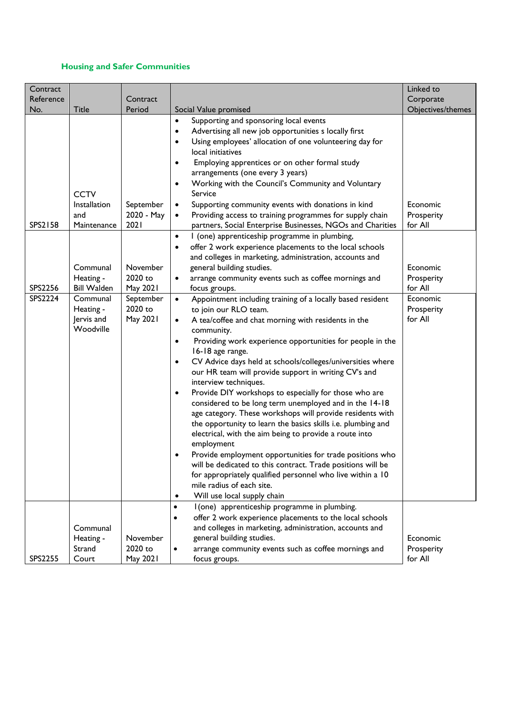### **Housing and Safer Communities**

| Contract                      |                                                                                                                                                      |                                                                                                        |                                                                                                                                                                                                                                                                                                                                                                                                                                                                                                                                                                                                                                                                                                                                                                                                                                                                                                                                                                                                                                                                                                                                                                                                                                                                                                                                                       | Linked to                                                                                                   |
|-------------------------------|------------------------------------------------------------------------------------------------------------------------------------------------------|--------------------------------------------------------------------------------------------------------|-------------------------------------------------------------------------------------------------------------------------------------------------------------------------------------------------------------------------------------------------------------------------------------------------------------------------------------------------------------------------------------------------------------------------------------------------------------------------------------------------------------------------------------------------------------------------------------------------------------------------------------------------------------------------------------------------------------------------------------------------------------------------------------------------------------------------------------------------------------------------------------------------------------------------------------------------------------------------------------------------------------------------------------------------------------------------------------------------------------------------------------------------------------------------------------------------------------------------------------------------------------------------------------------------------------------------------------------------------|-------------------------------------------------------------------------------------------------------------|
| Reference                     |                                                                                                                                                      | Contract                                                                                               |                                                                                                                                                                                                                                                                                                                                                                                                                                                                                                                                                                                                                                                                                                                                                                                                                                                                                                                                                                                                                                                                                                                                                                                                                                                                                                                                                       | Corporate                                                                                                   |
| No.                           | <b>Title</b>                                                                                                                                         | Period                                                                                                 | Social Value promised                                                                                                                                                                                                                                                                                                                                                                                                                                                                                                                                                                                                                                                                                                                                                                                                                                                                                                                                                                                                                                                                                                                                                                                                                                                                                                                                 | Objectives/themes                                                                                           |
| SPS2158<br>SPS2256<br>SPS2224 | <b>CCTV</b><br>Installation<br>and<br>Maintenance<br>Communal<br>Heating -<br><b>Bill Walden</b><br>Communal<br>Heating -<br>Jervis and<br>Woodville | September<br>2020 - May<br>2021<br>November<br>2020 to<br>May 2021<br>September<br>2020 to<br>May 2021 | Supporting and sponsoring local events<br>$\bullet$<br>Advertising all new job opportunities s locally first<br>٠<br>Using employees' allocation of one volunteering day for<br>$\bullet$<br>local initiatives<br>Employing apprentices or on other formal study<br>$\bullet$<br>arrangements (one every 3 years)<br>Working with the Council's Community and Voluntary<br>٠<br>Service<br>Supporting community events with donations in kind<br>$\bullet$<br>Providing access to training programmes for supply chain<br>$\bullet$<br>partners, Social Enterprise Businesses, NGOs and Charities<br>I (one) apprenticeship programme in plumbing,<br>$\bullet$<br>offer 2 work experience placements to the local schools<br>$\bullet$<br>and colleges in marketing, administration, accounts and<br>general building studies.<br>arrange community events such as coffee mornings and<br>$\bullet$<br>focus groups.<br>Appointment including training of a locally based resident<br>$\bullet$<br>to join our RLO team.<br>A tea/coffee and chat morning with residents in the<br>$\bullet$<br>community.<br>Providing work experience opportunities for people in the<br>٠<br>16-18 age range.<br>CV Advice days held at schools/colleges/universities where<br>٠<br>our HR team will provide support in writing CV's and<br>interview techniques. | Economic<br>Prosperity<br>for All<br>Economic<br>Prosperity<br>for All<br>Economic<br>Prosperity<br>for All |
|                               | Communal<br>Heating -<br>Strand                                                                                                                      | November<br>2020 to                                                                                    | Provide DIY workshops to especially for those who are<br>$\bullet$<br>considered to be long term unemployed and in the 14-18<br>age category. These workshops will provide residents with<br>the opportunity to learn the basics skills i.e. plumbing and<br>electrical, with the aim being to provide a route into<br>employment<br>Provide employment opportunities for trade positions who<br>٠<br>will be dedicated to this contract. Trade positions will be<br>for appropriately qualified personnel who live within a 10<br>mile radius of each site.<br>Will use local supply chain<br>٠<br>I (one) apprenticeship programme in plumbing.<br>$\bullet$<br>offer 2 work experience placements to the local schools<br>$\bullet$<br>and colleges in marketing, administration, accounts and<br>general building studies.<br>arrange community events such as coffee mornings and<br>$\bullet$                                                                                                                                                                                                                                                                                                                                                                                                                                                   | Economic<br>Prosperity                                                                                      |
| SPS2255                       | Court                                                                                                                                                | May 2021                                                                                               | focus groups.                                                                                                                                                                                                                                                                                                                                                                                                                                                                                                                                                                                                                                                                                                                                                                                                                                                                                                                                                                                                                                                                                                                                                                                                                                                                                                                                         | for All                                                                                                     |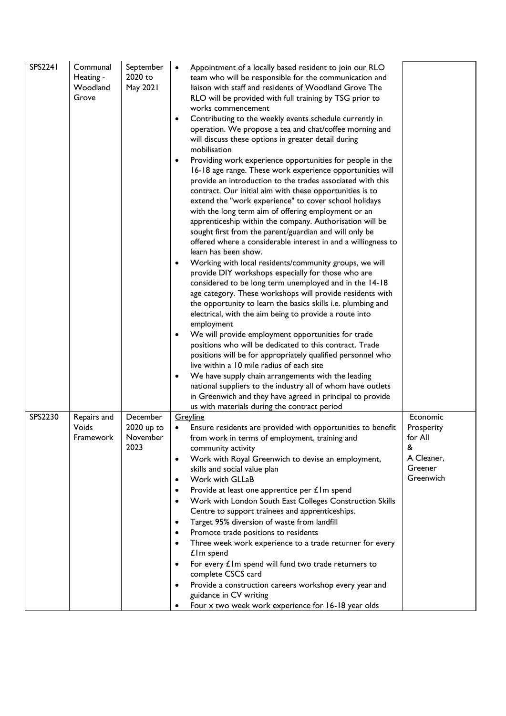| <b>SPS2241</b> | Communal<br>Heating -<br>Woodland<br>Grove | September<br>2020 to<br>May 2021 | Appointment of a locally based resident to join our RLO<br>team who will be responsible for the communication and<br>liaison with staff and residents of Woodland Grove The<br>RLO will be provided with full training by TSG prior to<br>works commencement<br>Contributing to the weekly events schedule currently in<br>٠<br>operation. We propose a tea and chat/coffee morning and<br>will discuss these options in greater detail during<br>mobilisation<br>Providing work experience opportunities for people in the<br>16-18 age range. These work experience opportunities will<br>provide an introduction to the trades associated with this<br>contract. Our initial aim with these opportunities is to<br>extend the "work experience" to cover school holidays<br>with the long term aim of offering employment or an<br>apprenticeship within the company. Authorisation will be<br>sought first from the parent/guardian and will only be<br>offered where a considerable interest in and a willingness to<br>learn has been show.<br>Working with local residents/community groups, we will<br>٠<br>provide DIY workshops especially for those who are<br>considered to be long term unemployed and in the 14-18<br>age category. These workshops will provide residents with<br>the opportunity to learn the basics skills i.e. plumbing and<br>electrical, with the aim being to provide a route into<br>employment<br>We will provide employment opportunities for trade<br>positions who will be dedicated to this contract. Trade<br>positions will be for appropriately qualified personnel who<br>live within a 10 mile radius of each site<br>We have supply chain arrangements with the leading<br>national suppliers to the industry all of whom have outlets<br>in Greenwich and they have agreed in principal to provide |              |
|----------------|--------------------------------------------|----------------------------------|------------------------------------------------------------------------------------------------------------------------------------------------------------------------------------------------------------------------------------------------------------------------------------------------------------------------------------------------------------------------------------------------------------------------------------------------------------------------------------------------------------------------------------------------------------------------------------------------------------------------------------------------------------------------------------------------------------------------------------------------------------------------------------------------------------------------------------------------------------------------------------------------------------------------------------------------------------------------------------------------------------------------------------------------------------------------------------------------------------------------------------------------------------------------------------------------------------------------------------------------------------------------------------------------------------------------------------------------------------------------------------------------------------------------------------------------------------------------------------------------------------------------------------------------------------------------------------------------------------------------------------------------------------------------------------------------------------------------------------------------------------------------------------------------------------------------------------------------------|--------------|
| SPS2230        | Repairs and                                | December                         | us with materials during the contract period<br>Greyline                                                                                                                                                                                                                                                                                                                                                                                                                                                                                                                                                                                                                                                                                                                                                                                                                                                                                                                                                                                                                                                                                                                                                                                                                                                                                                                                                                                                                                                                                                                                                                                                                                                                                                                                                                                             | Economic     |
|                | Voids                                      | 2020 up to                       | Ensure residents are provided with opportunities to benefit                                                                                                                                                                                                                                                                                                                                                                                                                                                                                                                                                                                                                                                                                                                                                                                                                                                                                                                                                                                                                                                                                                                                                                                                                                                                                                                                                                                                                                                                                                                                                                                                                                                                                                                                                                                          | Prosperity   |
|                | Framework                                  | November<br>2023                 | from work in terms of employment, training and<br>community activity                                                                                                                                                                                                                                                                                                                                                                                                                                                                                                                                                                                                                                                                                                                                                                                                                                                                                                                                                                                                                                                                                                                                                                                                                                                                                                                                                                                                                                                                                                                                                                                                                                                                                                                                                                                 | for All<br>& |
|                |                                            |                                  | Work with Royal Greenwich to devise an employment,                                                                                                                                                                                                                                                                                                                                                                                                                                                                                                                                                                                                                                                                                                                                                                                                                                                                                                                                                                                                                                                                                                                                                                                                                                                                                                                                                                                                                                                                                                                                                                                                                                                                                                                                                                                                   | A Cleaner,   |
|                |                                            |                                  | skills and social value plan                                                                                                                                                                                                                                                                                                                                                                                                                                                                                                                                                                                                                                                                                                                                                                                                                                                                                                                                                                                                                                                                                                                                                                                                                                                                                                                                                                                                                                                                                                                                                                                                                                                                                                                                                                                                                         | Greener      |
|                |                                            |                                  | Work with GLLaB<br>$\bullet$                                                                                                                                                                                                                                                                                                                                                                                                                                                                                                                                                                                                                                                                                                                                                                                                                                                                                                                                                                                                                                                                                                                                                                                                                                                                                                                                                                                                                                                                                                                                                                                                                                                                                                                                                                                                                         | Greenwich    |
|                |                                            |                                  | Provide at least one apprentice per £1m spend<br>$\bullet$                                                                                                                                                                                                                                                                                                                                                                                                                                                                                                                                                                                                                                                                                                                                                                                                                                                                                                                                                                                                                                                                                                                                                                                                                                                                                                                                                                                                                                                                                                                                                                                                                                                                                                                                                                                           |              |
|                |                                            |                                  | Work with London South East Colleges Construction Skills<br>$\bullet$<br>Centre to support trainees and apprenticeships.                                                                                                                                                                                                                                                                                                                                                                                                                                                                                                                                                                                                                                                                                                                                                                                                                                                                                                                                                                                                                                                                                                                                                                                                                                                                                                                                                                                                                                                                                                                                                                                                                                                                                                                             |              |
|                |                                            |                                  | Target 95% diversion of waste from landfill<br>٠                                                                                                                                                                                                                                                                                                                                                                                                                                                                                                                                                                                                                                                                                                                                                                                                                                                                                                                                                                                                                                                                                                                                                                                                                                                                                                                                                                                                                                                                                                                                                                                                                                                                                                                                                                                                     |              |
|                |                                            |                                  | Promote trade positions to residents<br>٠                                                                                                                                                                                                                                                                                                                                                                                                                                                                                                                                                                                                                                                                                                                                                                                                                                                                                                                                                                                                                                                                                                                                                                                                                                                                                                                                                                                                                                                                                                                                                                                                                                                                                                                                                                                                            |              |
|                |                                            |                                  | Three week work experience to a trade returner for every                                                                                                                                                                                                                                                                                                                                                                                                                                                                                                                                                                                                                                                                                                                                                                                                                                                                                                                                                                                                                                                                                                                                                                                                                                                                                                                                                                                                                                                                                                                                                                                                                                                                                                                                                                                             |              |
|                |                                            |                                  | $£$ Im spend<br>For every $\pounds$ Im spend will fund two trade returners to<br>٠                                                                                                                                                                                                                                                                                                                                                                                                                                                                                                                                                                                                                                                                                                                                                                                                                                                                                                                                                                                                                                                                                                                                                                                                                                                                                                                                                                                                                                                                                                                                                                                                                                                                                                                                                                   |              |
|                |                                            |                                  | complete CSCS card                                                                                                                                                                                                                                                                                                                                                                                                                                                                                                                                                                                                                                                                                                                                                                                                                                                                                                                                                                                                                                                                                                                                                                                                                                                                                                                                                                                                                                                                                                                                                                                                                                                                                                                                                                                                                                   |              |
|                |                                            |                                  | Provide a construction careers workshop every year and<br>٠<br>guidance in CV writing                                                                                                                                                                                                                                                                                                                                                                                                                                                                                                                                                                                                                                                                                                                                                                                                                                                                                                                                                                                                                                                                                                                                                                                                                                                                                                                                                                                                                                                                                                                                                                                                                                                                                                                                                                |              |
|                |                                            |                                  | Four x two week work experience for 16-18 year olds                                                                                                                                                                                                                                                                                                                                                                                                                                                                                                                                                                                                                                                                                                                                                                                                                                                                                                                                                                                                                                                                                                                                                                                                                                                                                                                                                                                                                                                                                                                                                                                                                                                                                                                                                                                                  |              |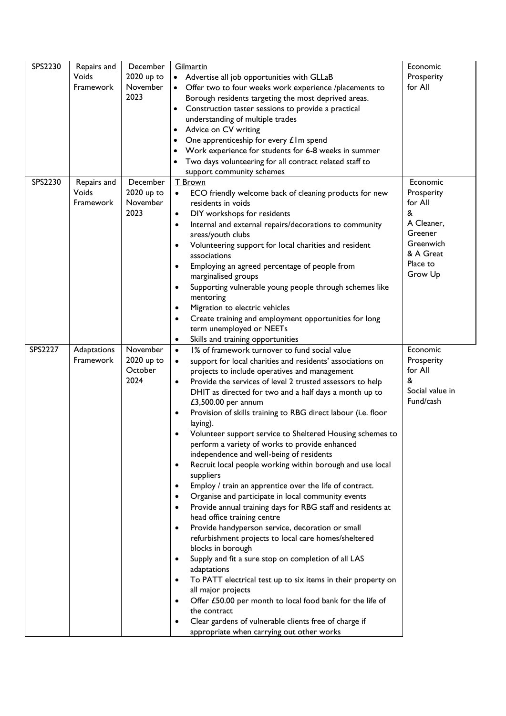| SPS2230 | Repairs and<br>Voids<br>Framework | December<br>2020 up to<br>November<br>2023 | Gilmartin<br>Advertise all job opportunities with GLLaB<br>Offer two to four weeks work experience /placements to<br>$\bullet$<br>Borough residents targeting the most deprived areas.<br>Construction taster sessions to provide a practical<br>understanding of multiple trades<br>Advice on CV writing<br>$\bullet$<br>One apprenticeship for every £1m spend<br>Work experience for students for 6-8 weeks in summer<br>Two days volunteering for all contract related staff to<br>support community schemes                                                                                                                                                                                                                                                                                                                                                                                                                                                                                                                                                                                                                                                                                                                                                                                                                                                                 | Economic<br>Prosperity<br>for All                                                                                |
|---------|-----------------------------------|--------------------------------------------|----------------------------------------------------------------------------------------------------------------------------------------------------------------------------------------------------------------------------------------------------------------------------------------------------------------------------------------------------------------------------------------------------------------------------------------------------------------------------------------------------------------------------------------------------------------------------------------------------------------------------------------------------------------------------------------------------------------------------------------------------------------------------------------------------------------------------------------------------------------------------------------------------------------------------------------------------------------------------------------------------------------------------------------------------------------------------------------------------------------------------------------------------------------------------------------------------------------------------------------------------------------------------------------------------------------------------------------------------------------------------------|------------------------------------------------------------------------------------------------------------------|
| SPS2230 | Repairs and<br>Voids<br>Framework | December<br>2020 up to<br>November<br>2023 | T Brown<br>ECO friendly welcome back of cleaning products for new<br>residents in voids<br>DIY workshops for residents<br>٠<br>Internal and external repairs/decorations to community<br>٠<br>areas/youth clubs<br>Volunteering support for local charities and resident<br>٠<br>associations<br>Employing an agreed percentage of people from<br>٠<br>marginalised groups<br>Supporting vulnerable young people through schemes like<br>٠<br>mentoring<br>Migration to electric vehicles<br>٠<br>Create training and employment opportunities for long<br>٠<br>term unemployed or NEETs<br>Skills and training opportunities                                                                                                                                                                                                                                                                                                                                                                                                                                                                                                                                                                                                                                                                                                                                                    | Economic<br>Prosperity<br>for All<br>&<br>A Cleaner,<br>Greener<br>Greenwich<br>& A Great<br>Place to<br>Grow Up |
| SPS2227 | Adaptations<br>Framework          | November<br>2020 up to<br>October<br>2024  | 1% of framework turnover to fund social value<br>$\bullet$<br>support for local charities and residents' associations on<br>projects to include operatives and management<br>Provide the services of level 2 trusted assessors to help<br>DHIT as directed for two and a half days a month up to<br>£3,500.00 per annum<br>Provision of skills training to RBG direct labour (i.e. floor<br>٠<br>laying).<br>Volunteer support service to Sheltered Housing schemes to<br>perform a variety of works to provide enhanced<br>independence and well-being of residents<br>Recruit local people working within borough and use local<br>٠<br>suppliers<br>Employ / train an apprentice over the life of contract.<br>٠<br>Organise and participate in local community events<br>٠<br>Provide annual training days for RBG staff and residents at<br>٠<br>head office training centre<br>Provide handyperson service, decoration or small<br>refurbishment projects to local care homes/sheltered<br>blocks in borough<br>Supply and fit a sure stop on completion of all LAS<br>٠<br>adaptations<br>To PATT electrical test up to six items in their property on<br>٠<br>all major projects<br>Offer £50.00 per month to local food bank for the life of<br>the contract<br>Clear gardens of vulnerable clients free of charge if<br>٠<br>appropriate when carrying out other works | Economic<br>Prosperity<br>for All<br>&<br>Social value in<br>Fund/cash                                           |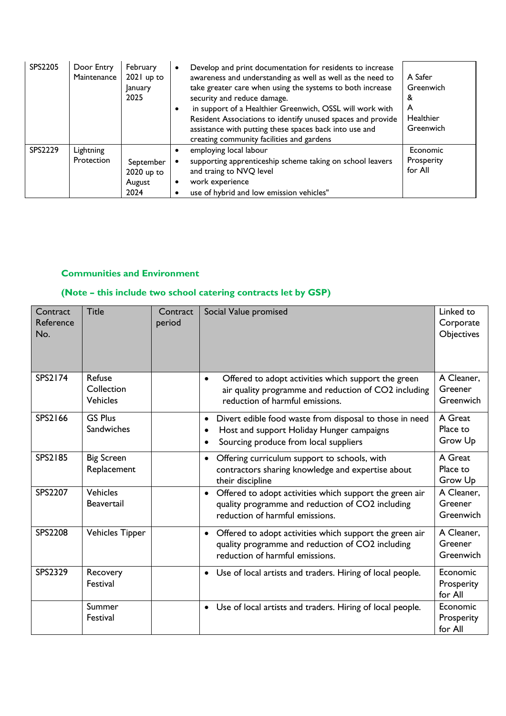| SPS2205 | Door Entry<br>Maintenance | February<br>$2021$ up to<br><b>January</b><br>2025 | Develop and print documentation for residents to increase<br>٠<br>awareness and understanding as well as well as the need to<br>take greater care when using the systems to both increase<br>security and reduce damage.<br>in support of a Healthier Greenwich, OSSL will work with<br>$\bullet$<br>Resident Associations to identify unused spaces and provide<br>assistance with putting these spaces back into use and<br>creating community facilities and gardens | A Safer<br>Greenwich<br>&<br>A<br>Healthier<br>Greenwich |
|---------|---------------------------|----------------------------------------------------|-------------------------------------------------------------------------------------------------------------------------------------------------------------------------------------------------------------------------------------------------------------------------------------------------------------------------------------------------------------------------------------------------------------------------------------------------------------------------|----------------------------------------------------------|
| SPS2229 | Lightning<br>Protection   | September<br>2020 up to<br>August<br>2024          | employing local labour<br>supporting apprenticeship scheme taking on school leavers<br>and traing to NVQ level<br>work experience<br>٠<br>use of hybrid and low emission vehicles"<br>٠                                                                                                                                                                                                                                                                                 | Economic<br>Prosperity<br>for All                        |

#### **Communities and Environment**

# **(Note – this include two school catering contracts let by GSP)**

| Contract<br>Reference<br>No. | <b>Title</b>                            | Contract<br>period | Social Value promised                                                                                                                                                   | Linked to<br>Corporate<br>Objectives |
|------------------------------|-----------------------------------------|--------------------|-------------------------------------------------------------------------------------------------------------------------------------------------------------------------|--------------------------------------|
| SPS2174                      | Refuse<br>Collection<br><b>Vehicles</b> |                    | Offered to adopt activities which support the green<br>$\bullet$<br>air quality programme and reduction of CO2 including<br>reduction of harmful emissions.             | A Cleaner,<br>Greener<br>Greenwich   |
| SPS2166                      | <b>GS Plus</b><br>Sandwiches            |                    | Divert edible food waste from disposal to those in need<br>$\bullet$<br>Host and support Holiday Hunger campaigns<br>$\bullet$<br>Sourcing produce from local suppliers | A Great<br>Place to<br>Grow Up       |
| <b>SPS2185</b>               | <b>Big Screen</b><br>Replacement        |                    | Offering curriculum support to schools, with<br>$\bullet$<br>contractors sharing knowledge and expertise about<br>their discipline                                      | A Great<br>Place to<br>Grow Up       |
| <b>SPS2207</b>               | Vehicles<br><b>Beavertail</b>           |                    | Offered to adopt activities which support the green air<br>$\bullet$<br>quality programme and reduction of CO2 including<br>reduction of harmful emissions.             | A Cleaner,<br>Greener<br>Greenwich   |
| <b>SPS2208</b>               | Vehicles Tipper                         |                    | Offered to adopt activities which support the green air<br>$\bullet$<br>quality programme and reduction of CO2 including<br>reduction of harmful emissions.             | A Cleaner,<br>Greener<br>Greenwich   |
| SPS2329                      | Recovery<br>Festival                    |                    | • Use of local artists and traders. Hiring of local people.                                                                                                             | Economic<br>Prosperity<br>for All    |
|                              | Summer<br>Festival                      |                    | • Use of local artists and traders. Hiring of local people.                                                                                                             | Economic<br>Prosperity<br>for All    |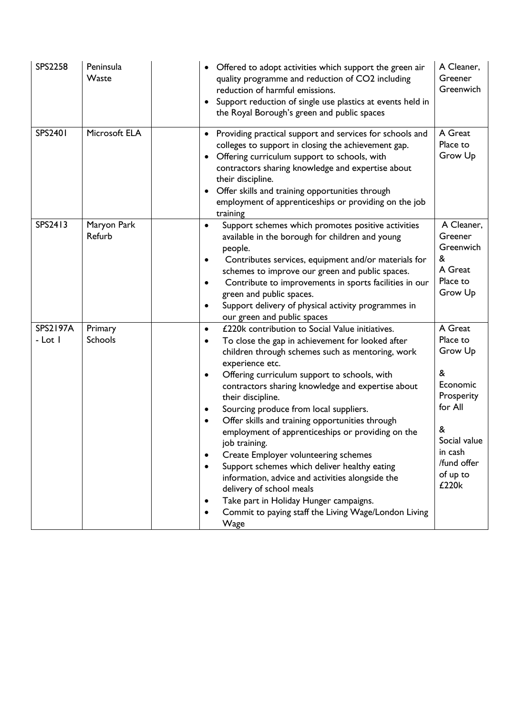| <b>SPS2258</b>             | Peninsula<br>Waste        | Offered to adopt activities which support the green air<br>quality programme and reduction of CO2 including<br>reduction of harmful emissions.<br>Support reduction of single use plastics at events held in<br>$\bullet$<br>the Royal Borough's green and public spaces                                                                                                                                                                                                                                                                                                                                                                                                                                                                                                                                                                               | A Cleaner,<br>Greener<br>Greenwich                                                                                                           |
|----------------------------|---------------------------|--------------------------------------------------------------------------------------------------------------------------------------------------------------------------------------------------------------------------------------------------------------------------------------------------------------------------------------------------------------------------------------------------------------------------------------------------------------------------------------------------------------------------------------------------------------------------------------------------------------------------------------------------------------------------------------------------------------------------------------------------------------------------------------------------------------------------------------------------------|----------------------------------------------------------------------------------------------------------------------------------------------|
| <b>SPS2401</b>             | Microsoft ELA             | Providing practical support and services for schools and<br>colleges to support in closing the achievement gap.<br>Offering curriculum support to schools, with<br>contractors sharing knowledge and expertise about<br>their discipline.<br>Offer skills and training opportunities through<br>employment of apprenticeships or providing on the job<br>training                                                                                                                                                                                                                                                                                                                                                                                                                                                                                      | A Great<br>Place to<br>Grow Up                                                                                                               |
| SPS2413                    | Maryon Park<br>Refurb     | Support schemes which promotes positive activities<br>$\bullet$<br>available in the borough for children and young<br>people.<br>Contributes services, equipment and/or materials for<br>٠<br>schemes to improve our green and public spaces.<br>Contribute to improvements in sports facilities in our<br>green and public spaces.<br>Support delivery of physical activity programmes in<br>$\bullet$<br>our green and public spaces                                                                                                                                                                                                                                                                                                                                                                                                                 | A Cleaner,<br>Greener<br>Greenwich<br>&<br>A Great<br>Place to<br>Grow Up                                                                    |
| <b>SPS2197A</b><br>- Lot I | Primary<br><b>Schools</b> | £220k contribution to Social Value initiatives.<br>$\bullet$<br>To close the gap in achievement for looked after<br>$\bullet$<br>children through schemes such as mentoring, work<br>experience etc.<br>Offering curriculum support to schools, with<br>٠<br>contractors sharing knowledge and expertise about<br>their discipline.<br>Sourcing produce from local suppliers.<br>٠<br>Offer skills and training opportunities through<br>$\bullet$<br>employment of apprenticeships or providing on the<br>job training.<br>Create Employer volunteering schemes<br>$\bullet$<br>Support schemes which deliver healthy eating<br>٠<br>information, advice and activities alongside the<br>delivery of school meals<br>Take part in Holiday Hunger campaigns.<br>$\bullet$<br>Commit to paying staff the Living Wage/London Living<br>$\bullet$<br>Wage | A Great<br>Place to<br>Grow Up<br>&<br>Economic<br>Prosperity<br>for All<br>&<br>Social value<br>in cash<br>/fund offer<br>of up to<br>£220k |